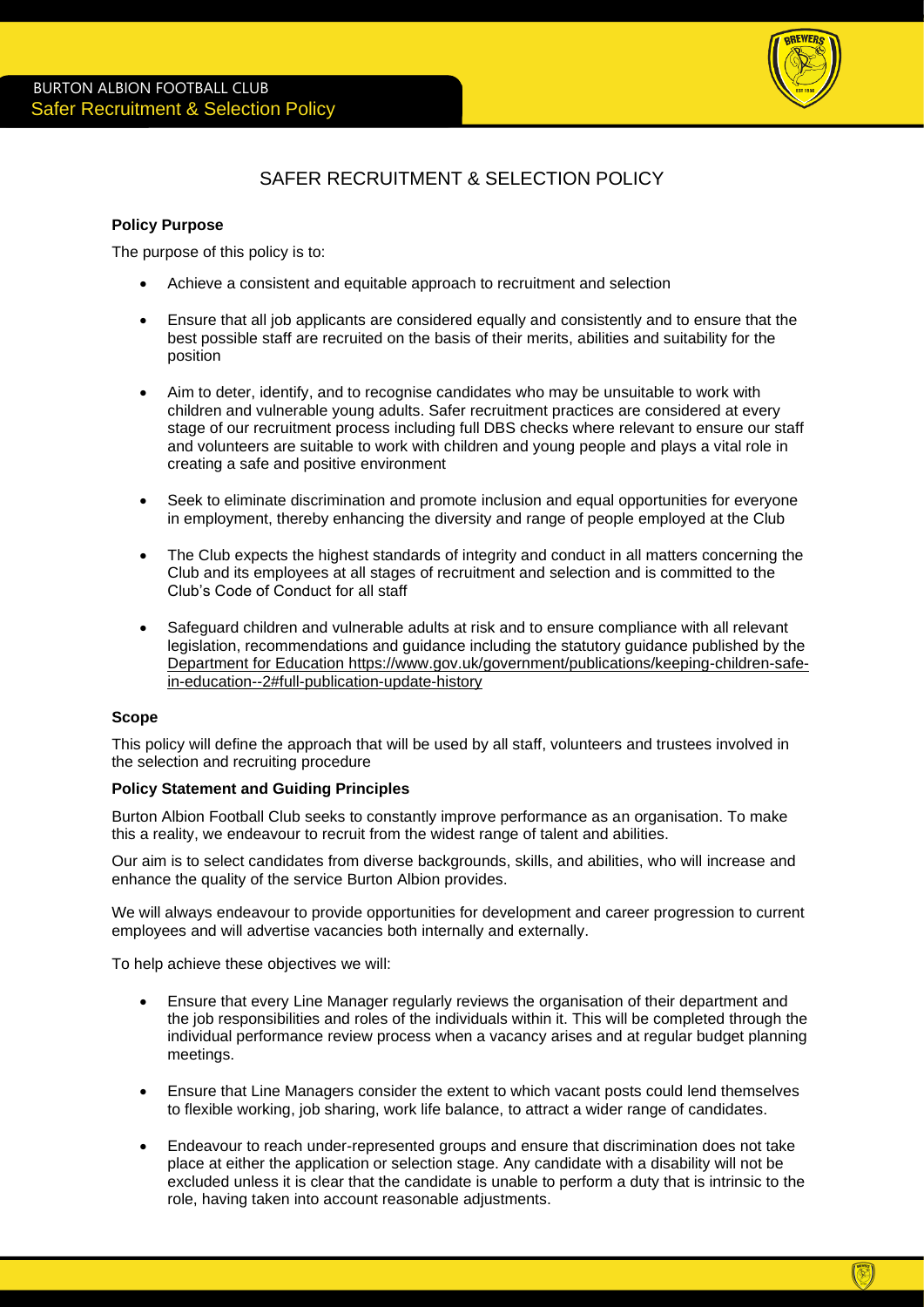

# SAFER RECRUITMENT & SELECTION POLICY

### **Policy Purpose**

The purpose of this policy is to:

- Achieve a consistent and equitable approach to recruitment and selection
- Ensure that all job applicants are considered equally and consistently and to ensure that the best possible staff are recruited on the basis of their merits, abilities and suitability for the position
- Aim to deter, identify, and to recognise candidates who may be unsuitable to work with children and vulnerable young adults. Safer recruitment practices are considered at every stage of our recruitment process including full DBS checks where relevant to ensure our staff and volunteers are suitable to work with children and young people and plays a vital role in creating a safe and positive environment
- Seek to eliminate discrimination and promote inclusion and equal opportunities for everyone in employment, thereby enhancing the diversity and range of people employed at the Club
- The Club expects the highest standards of integrity and conduct in all matters concerning the Club and its employees at all stages of recruitment and selection and is committed to the Club's Code of Conduct for all staff
- Safeguard children and vulnerable adults at risk and to ensure compliance with all relevant legislation, recommendations and guidance including the statutory guidance published by the Department for Education [https://www.gov.uk/government/publications/keeping-children-safe](https://www.gov.uk/government/publications/keeping-children-safe-in-education--2#full-publication-update-history)[in-education--2#full-publication-update-history](https://www.gov.uk/government/publications/keeping-children-safe-in-education--2#full-publication-update-history)

# **Scope**

This policy will define the approach that will be used by all staff, volunteers and trustees involved in the selection and recruiting procedure

# **Policy Statement and Guiding Principles**

Burton Albion Football Club seeks to constantly improve performance as an organisation. To make this a reality, we endeavour to recruit from the widest range of talent and abilities.

Our aim is to select candidates from diverse backgrounds, skills, and abilities, who will increase and enhance the quality of the service Burton Albion provides.

We will always endeavour to provide opportunities for development and career progression to current employees and will advertise vacancies both internally and externally.

To help achieve these objectives we will:

- Ensure that every Line Manager regularly reviews the organisation of their department and the job responsibilities and roles of the individuals within it. This will be completed through the individual performance review process when a vacancy arises and at regular budget planning meetings.
- Ensure that Line Managers consider the extent to which vacant posts could lend themselves to flexible working, job sharing, work life balance, to attract a wider range of candidates.
- Endeavour to reach under-represented groups and ensure that discrimination does not take place at either the application or selection stage. Any candidate with a disability will not be excluded unless it is clear that the candidate is unable to perform a duty that is intrinsic to the role, having taken into account reasonable adjustments.